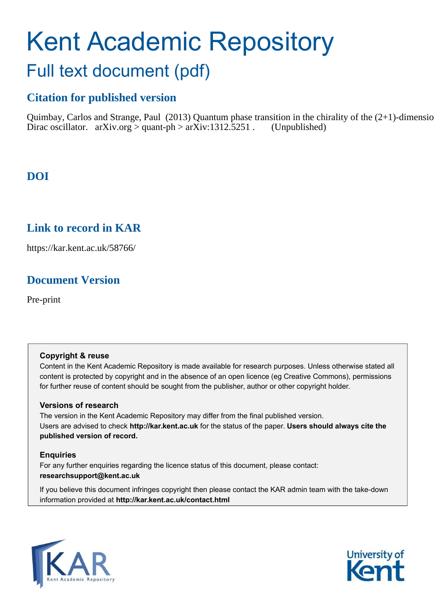# Kent Academic Repository

# Full text document (pdf)

## **Citation for published version**

Quimbay, Carlos and Strange, Paul (2013) Quantum phase transition in the chirality of the  $(2+1)$ -dimension Dirac oscillator.  $arXiv.org > quant-ph > arXiv:1312.5251$ . (Unpublished)

## **DOI**

## **Link to record in KAR**

https://kar.kent.ac.uk/58766/

## **Document Version**

Pre-print

#### **Copyright & reuse**

Content in the Kent Academic Repository is made available for research purposes. Unless otherwise stated all content is protected by copyright and in the absence of an open licence (eg Creative Commons), permissions for further reuse of content should be sought from the publisher, author or other copyright holder.

#### **Versions of research**

The version in the Kent Academic Repository may differ from the final published version. Users are advised to check **http://kar.kent.ac.uk** for the status of the paper. **Users should always cite the published version of record.**

#### **Enquiries**

For any further enquiries regarding the licence status of this document, please contact: **researchsupport@kent.ac.uk**

<span id="page-0-1"></span><span id="page-0-0"></span>If you believe this document infringes copyright then please contact the KAR admin team with the take-down information provided at **http://kar.kent.ac.uk/contact.html**

<span id="page-0-2"></span>

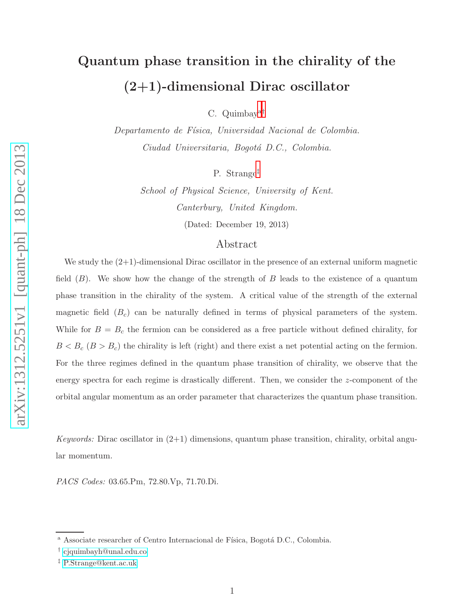## Quantum phase transition in the chirality of the (2+1)-dimensional Dirac oscillator

C. Quimbay[a](#page-0-0)[†](#page-0-1)

Departamento de Física, Universidad Nacional de Colombia. Ciudad Universitaria, Bogotá D.C., Colombia.

P. Strange[‡](#page-0-2)

School of Physical Science, University of Kent. Canterbury, United Kingdom. (Dated: December 19, 2013)

#### Abstract

We study the  $(2+1)$ -dimensional Dirac oscillator in the presence of an external uniform magnetic field  $(B)$ . We show how the change of the strength of B leads to the existence of a quantum phase transition in the chirality of the system. A critical value of the strength of the external magnetic field  $(B<sub>c</sub>)$  can be naturally defined in terms of physical parameters of the system. While for  $B = B_c$  the fermion can be considered as a free particle without defined chirality, for  $B < B_c$  ( $B > B_c$ ) the chirality is left (right) and there exist a net potential acting on the fermion. For the three regimes defined in the quantum phase transition of chirality, we observe that the energy spectra for each regime is drastically different. Then, we consider the z-component of the orbital angular momentum as an order parameter that characterizes the quantum phase transition.

Keywords: Dirac oscillator in  $(2+1)$  dimensions, quantum phase transition, chirality, orbital angular momentum.

PACS Codes: 03.65.Pm, 72.80.Vp, 71.70.Di.

<sup>&</sup>lt;sup>a</sup> Associate researcher of Centro Internacional de Física, Bogotá D.C., Colombia.

<sup>†</sup> [cjquimbayh@unal.edu.co](mailto:cjquimbayh@unal.edu.co)

<sup>‡</sup> [P.Strange@kent.ac.uk](mailto:P.Strange@kent.ac.uk)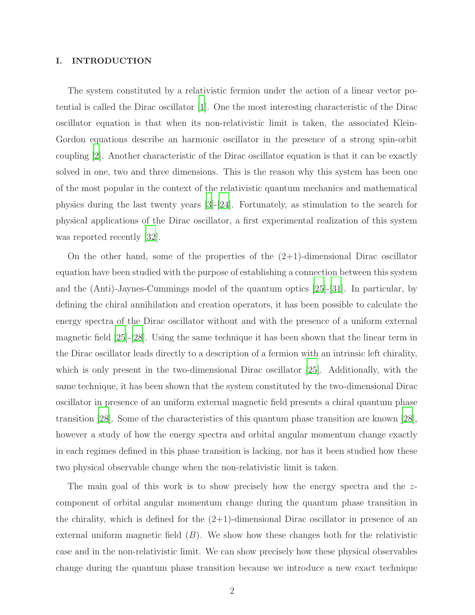#### I. INTRODUCTION

The system constituted by a relativistic fermion under the action of a linear vector potential is called the Dirac oscillator [\[1\]](#page-12-0). One the most interesting characteristic of the Dirac oscillator equation is that when its non-relativistic limit is taken, the associated Klein-Gordon equations describe an harmonic oscillator in the presence of a strong spin-orbit coupling [\[2\]](#page-12-1). Another characteristic of the Dirac oscillator equation is that it can be exactly solved in one, two and three dimensions. This is the reason why this system has been one of the most popular in the context of the relativistic quantum mechanics and mathematical physics during the last twenty years [\[3\]](#page-13-0)-[\[24\]](#page-13-1). Fortunately, as stimulation to the search for physical applications of the Dirac oscillator, a first experimental realization of this system was reported recently [\[32\]](#page-14-0).

On the other hand, some of the properties of the  $(2+1)$ -dimensional Dirac oscillator equation have been studied with the purpose of establishing a connection between this system and the (Anti)-Jaynes-Cummings model of the quantum optics [\[25\]](#page-13-2)-[\[31\]](#page-13-3). In particular, by defining the chiral annihilation and creation operators, it has been possible to calculate the energy spectra of the Dirac oscillator without and with the presence of a uniform external magnetic field [\[25\]](#page-13-2)-[\[28\]](#page-13-4). Using the same technique it has been shown that the linear term in the Dirac oscillator leads directly to a description of a fermion with an intrinsic left chirality, which is only present in the two-dimensional Dirac oscillator [\[25\]](#page-13-2). Additionally, with the same technique, it has been shown that the system constituted by the two-dimensional Dirac oscillator in presence of an uniform external magnetic field presents a chiral quantum phase transition [\[28\]](#page-13-4). Some of the characteristics of this quantum phase transition are known [\[28\]](#page-13-4), however a study of how the energy spectra and orbital angular momentum change exactly in each regimes defined in this phase transition is lacking, nor has it been studied how these two physical observable change when the non-relativistic limit is taken.

<span id="page-2-0"></span>The main goal of this work is to show precisely how the energy spectra and the zcomponent of orbital angular momentum change during the quantum phase transition in the chirality, which is defined for the  $(2+1)$ -dimensional Dirac oscillator in presence of an external uniform magnetic field  $(B)$ . We show how these changes both for the relativistic case and in the non-relativistic limit. We can show precisely how these physical observables change during the quantum phase transition because we introduce a new exact technique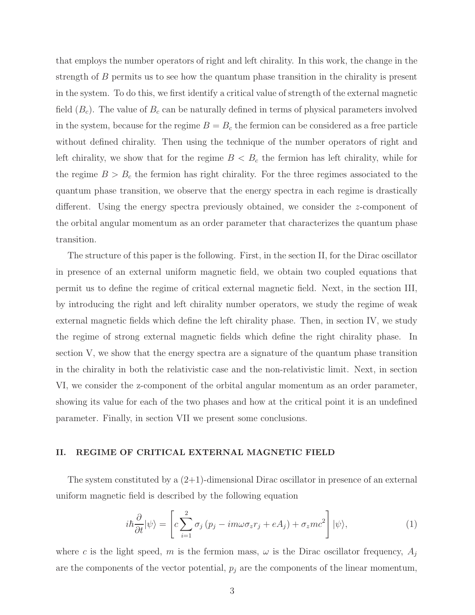<span id="page-3-0"></span>that employs the number operators of right and left chirality. In this work, the change in the strength of B permits us to see how the quantum phase transition in the chirality is present in the system. To do this, we first identify a critical value of strength of the external magnetic field  $(B<sub>c</sub>)$ . The value of  $B<sub>c</sub>$  can be naturally defined in terms of physical parameters involved in the system, because for the regime  $B = B_c$  the fermion can be considered as a free particle without defined chirality. Then using the technique of the number operators of right and left chirality, we show that for the regime  $B < B_c$  the fermion has left chirality, while for the regime  $B > B<sub>c</sub>$  the fermion has right chirality. For the three regimes associated to the quantum phase transition, we observe that the energy spectra in each regime is drastically different. Using the energy spectra previously obtained, we consider the z-component of the orbital angular momentum as an order parameter that characterizes the quantum phase transition.

<span id="page-3-2"></span><span id="page-3-1"></span>The structure of this paper is the following. First, in the section II, for the Dirac oscillator in presence of an external uniform magnetic field, we obtain two coupled equations that permit us to define the regime of critical external magnetic field. Next, in the section III, by introducing the right and left chirality number operators, we study the regime of weak external magnetic fields which define the left chirality phase. Then, in section IV, we study the regime of strong external magnetic fields which define the right chirality phase. In section V, we show that the energy spectra are a signature of the quantum phase transition in the chirality in both the relativistic case and the non-relativistic limit. Next, in section VI, we consider the z-component of the orbital angular momentum as an order parameter, showing its value for each of the two phases and how at the critical point it is an undefined parameter. Finally, in section VII we present some conclusions.

#### II. REGIME OF CRITICAL EXTERNAL MAGNETIC FIELD

The system constituted by a  $(2+1)$ -dimensional Dirac oscillator in presence of an external uniform magnetic field is described by the following equation

<span id="page-3-7"></span><span id="page-3-6"></span><span id="page-3-5"></span><span id="page-3-4"></span><span id="page-3-3"></span>
$$
i\hbar\frac{\partial}{\partial t}|\psi\rangle = \left[c\sum_{i=1}^{2}\sigma_{j}\left(p_{j} - im\omega\sigma_{z}r_{j} + eA_{j}\right) + \sigma_{z}mc^{2}\right]|\psi\rangle, \tag{1}
$$

where c is the light speed, m is the fermion mass,  $\omega$  is the Dirac oscillator frequency,  $A_j$ are the components of the vector potential,  $p_i$  are the components of the linear momentum,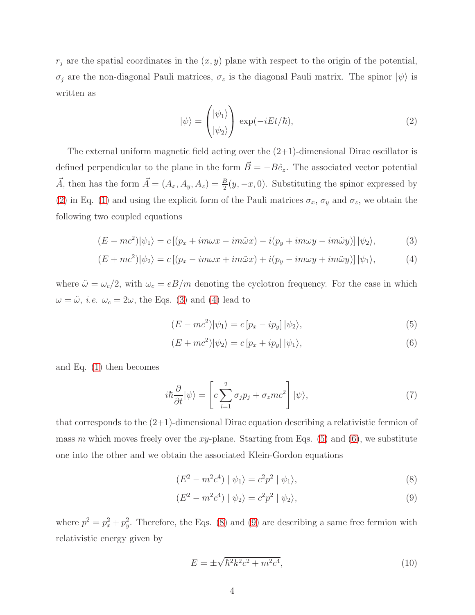$r_j$  are the spatial coordinates in the  $(x, y)$  plane with respect to the origin of the potential, σ<sub>j</sub> are the non-diagonal Pauli matrices,  $\sigma_z$  is the diagonal Pauli matrix. The spinor  $|\psi\rangle$  is written as

$$
|\psi\rangle = \begin{pmatrix} |\psi_1\rangle \\ |\psi_2\rangle \end{pmatrix} \exp(-iEt/\hbar), \tag{2}
$$

The external uniform magnetic field acting over the  $(2+1)$ -dimensional Dirac oscillator is defined perpendicular to the plane in the form  $\vec{B} = -B\hat{e}_z$ . The associated vector potential  $\vec{A}$ , then has the form  $\vec{A} = (A_x, A_y, A_z) = \frac{B}{2}(y, -x, 0)$ . Substituting the spinor expressed by [\(2\)](#page-3-0) in Eq. [\(1\)](#page-2-0) and using the explicit form of the Pauli matrices  $\sigma_x$ ,  $\sigma_y$  and  $\sigma_z$ , we obtain the following two coupled equations

$$
(E - mc^2)|\psi_1\rangle = c\left[ (p_x + im\omega x - im\tilde{\omega}x) - i(p_y + im\omega y - im\tilde{\omega}y) \right] |\psi_2\rangle, \tag{3}
$$

$$
(E + mc2)|\psi_2\rangle = c\left[ (p_x - im\omega x + im\tilde{\omega}x) + i(p_y - im\omega y + im\tilde{\omega}y) \right] |\psi_1\rangle, \tag{4}
$$

where  $\tilde{\omega} = \omega_c/2$ , with  $\omega_c = eB/m$  denoting the cyclotron frequency. For the case in which  $\omega = \tilde{\omega}$ , *i.e.*  $\omega_c = 2\omega$ , the Eqs. [\(3\)](#page-3-1) and [\(4\)](#page-3-2) lead to

<span id="page-4-0"></span>
$$
(E - mc2)|\psi_1\rangle = c[p_x - ip_y]|\psi_2\rangle,
$$
\n(5)

<span id="page-4-1"></span>
$$
(E + mc2)|\psi_2\rangle = c[p_x + ip_y]|\psi_1\rangle,
$$
\n(6)

and Eq. [\(1\)](#page-2-0) then becomes

$$
i\hbar \frac{\partial}{\partial t} |\psi\rangle = \left[ c \sum_{i=1}^{2} \sigma_j p_j + \sigma_z mc^2 \right] |\psi\rangle, \tag{7}
$$

that corresponds to the  $(2+1)$ -dimensional Dirac equation describing a relativistic fermion of mass m which moves freely over the xy-plane. Starting from Eqs.  $(5)$  and  $(6)$ , we substitute one into the other and we obtain the associated Klein-Gordon equations

<span id="page-4-2"></span>
$$
(E2 - m2c4) | \psi_1 \rangle = c2p2 | \psi_1 \rangle,
$$
 (8)

$$
(E2 - m2c4) | \psi_2 \rangle = c2p2 | \psi_2 \rangle,
$$
 (9)

where  $p^2 = p_x^2 + p_y^2$ <sup>2</sup><sub>y</sub>. Therefore, the Eqs. [\(8\)](#page-3-5) and [\(9\)](#page-3-6) are describing a same free fermion with relativistic energy given by

$$
E = \pm \sqrt{\hbar^2 k^2 c^2 + m^2 c^4},\tag{10}
$$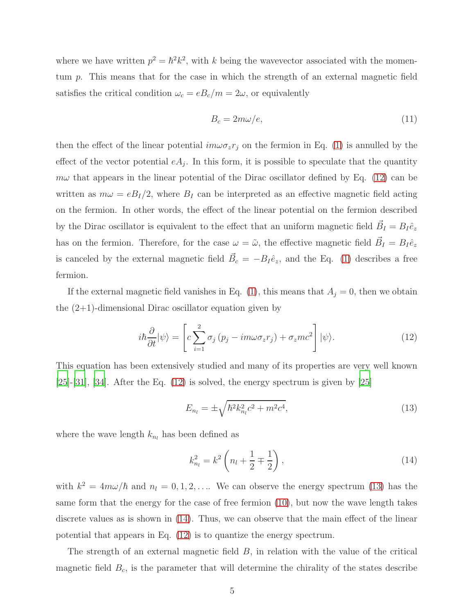where we have written  $p^2 = \hbar^2 k^2$ , with k being the wavevector associated with the momentum p. This means that for the case in which the strength of an external magnetic field satisfies the critical condition  $\omega_c = e B_c/m = 2\omega$ , or equivalently

<span id="page-5-1"></span><span id="page-5-0"></span>
$$
B_c = 2m\omega/e, \tag{11}
$$

then the effect of the linear potential  $im\omega \sigma_z r_j$  on the fermion in Eq. [\(1\)](#page-2-0) is annulled by the effect of the vector potential  $eA_j$ . In this form, it is possible to speculate that the quantity  $m\omega$  that appears in the linear potential of the Dirac oscillator defined by Eq. [\(12\)](#page-4-0) can be written as  $m\omega = eB_I/2$ , where  $B_I$  can be interpreted as an effective magnetic field acting on the fermion. In other words, the effect of the linear potential on the fermion described by the Dirac oscillator is equivalent to the effect that an uniform magnetic field  $\vec{B}_{I} = B_{I} \hat{e}_{z}$ has on the fermion. Therefore, for the case  $\omega = \tilde{\omega}$ , the effective magnetic field  $\vec{B}_I = B_I \hat{e}_z$ is canceled by the external magnetic field  $\vec{B}_c = -B_I \hat{e}_z$ , and the Eq. [\(1\)](#page-2-0) describes a free fermion.

If the external magnetic field vanishes in Eq. [\(1\)](#page-2-0), this means that  $A_j = 0$ , then we obtain the (2+1)-dimensional Dirac oscillator equation given by

$$
i\hbar \frac{\partial}{\partial t} |\psi\rangle = \left[ c \sum_{i=1}^{2} \sigma_j (p_j - im\omega \sigma_z r_j) + \sigma_z mc^2 \right] |\psi\rangle. \tag{12}
$$

This equation has been extensively studied and many of its properties are very well known  $[25]-[31]$  $[25]-[31]$  $[25]-[31]$  $[25]-[31]$ ,  $[34]$ . After the Eq.  $(12)$  is solved, the energy spectrum is given by  $[25]$ 

<span id="page-5-3"></span><span id="page-5-2"></span>
$$
E_{n_l} = \pm \sqrt{\hbar^2 k_{n_l}^2 c^2 + m^2 c^4},\tag{13}
$$

where the wave length  $k_{n_l}$  has been defined as

<span id="page-5-5"></span><span id="page-5-4"></span>
$$
k_{n_l}^2 = k^2 \left( n_l + \frac{1}{2} \mp \frac{1}{2} \right), \tag{14}
$$

with  $k^2 = 4m\omega/\hbar$  and  $n_l = 0, 1, 2, \ldots$  We can observe the energy spectrum [\(13\)](#page-4-1) has the same form that the energy for the case of free fermion [\(10\)](#page-3-7), but now the wave length takes discrete values as is shown in [\(14\)](#page-4-2). Thus, we can observe that the main effect of the linear potential that appears in Eq. [\(12\)](#page-4-0) is to quantize the energy spectrum.

The strength of an external magnetic field  $B$ , in relation with the value of the critical magnetic field  $B_c$ , is the parameter that will determine the chirality of the states describe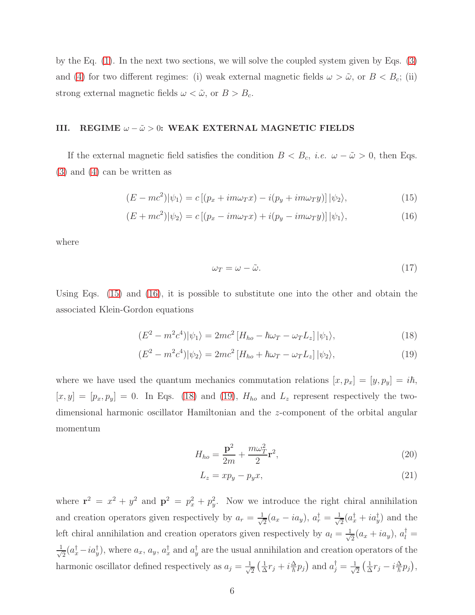by the Eq. [\(1\)](#page-2-0). In the next two sections, we will solve the coupled system given by Eqs. [\(3\)](#page-3-1) and [\(4\)](#page-3-2) for two different regimes: (i) weak external magnetic fields  $\omega > \tilde{\omega}$ , or  $B < B_c$ ; (ii) strong external magnetic fields  $\omega < \tilde{\omega}$ , or  $B > B_c$ .

#### III. REGIME  $\omega - \tilde{\omega} > 0$ : WEAK EXTERNAL MAGNETIC FIELDS

If the external magnetic field satisfies the condition  $B < B_c$ , *i.e.*  $\omega - \tilde{\omega} > 0$ , then Eqs. [\(3\)](#page-3-1) and [\(4\)](#page-3-2) can be written as

$$
(E - mc2)|\psi_1\rangle = c[(p_x + im\omega_T x) - i(p_y + im\omega_T y)]|\psi_2\rangle,
$$
\n(15)

$$
(E + mc2)|\psi_2\rangle = c\left[ (p_x - im\omega_T x) + i(p_y - im\omega_T y)\right] |\psi_1\rangle, \tag{16}
$$

where

<span id="page-6-3"></span><span id="page-6-2"></span><span id="page-6-1"></span><span id="page-6-0"></span>
$$
\omega_T = \omega - \tilde{\omega}.\tag{17}
$$

Using Eqs. [\(15\)](#page-5-0) and [\(16\)](#page-5-1), it is possible to substitute one into the other and obtain the associated Klein-Gordon equations

$$
(E2 - m2c4)|\psi1\rangle = 2mc2 [Hho - \hbar\omegaT - \omegaTLz] |\psi1\rangle,
$$
\n(18)

$$
(E2 - m2c4)|\psi_2\rangle = 2mc2 [Hho + \hbar\omega_T - \omega_T L_z] |\psi_2\rangle,
$$
\n(19)

where we have used the quantum mechanics commutation relations  $[x, p_x] = [y, p_y] = i\hbar$ ,  $[x, y] = [p_x, p_y] = 0$ . In Eqs. [\(18\)](#page-5-2) and [\(19\)](#page-5-3),  $H_{ho}$  and  $L_z$  represent respectively the twodimensional harmonic oscillator Hamiltonian and the z-component of the orbital angular momentum

<span id="page-6-4"></span>
$$
H_{ho} = \frac{\mathbf{p}^2}{2m} + \frac{m\omega_T^2}{2}\mathbf{r}^2,\tag{20}
$$

<span id="page-6-5"></span>
$$
L_z = xp_y - p_y x,\t\t(21)
$$

where  $\mathbf{r}^2 = x^2 + y^2$  and  $\mathbf{p}^2 = p_x^2 + p_y^2$  $y<sup>2</sup>$ . Now we introduce the right chiral annihilation and creation operators given respectively by  $a_r = \frac{1}{\sqrt{2}}$  $\frac{1}{2}(a_x - i a_y), a^{\dagger}_r = \frac{1}{\sqrt{2}}$  $\frac{1}{2}(a_x^{\dagger} + ia_y^{\dagger})$  and the left chiral annihilation and creation operators given respectively by  $a_l = \frac{1}{\sqrt{l}}$  $\frac{1}{2}(a_x + i a_y), \, a_l^{\dagger} =$ √ 1  $\frac{1}{2}(a_x^{\dagger} - ia_y^{\dagger})$ , where  $a_x$ ,  $a_y$ ,  $a_x^{\dagger}$  and  $a_y^{\dagger}$  are the usual annihilation and creation operators of the harmonic oscillator defined respectively as  $a_j = \frac{1}{\sqrt{2}}$  $\frac{1}{2}(\frac{1}{\Delta})$  $\frac{1}{\Delta}r_j + i\frac{\Delta}{\hbar}p_j$  and  $a_j^{\dagger} = \frac{1}{\sqrt{2}}$  $\frac{1}{2}(\frac{1}{\Delta})$  $\frac{1}{\Delta}r_j - i\frac{\Delta}{\hbar}p_j),$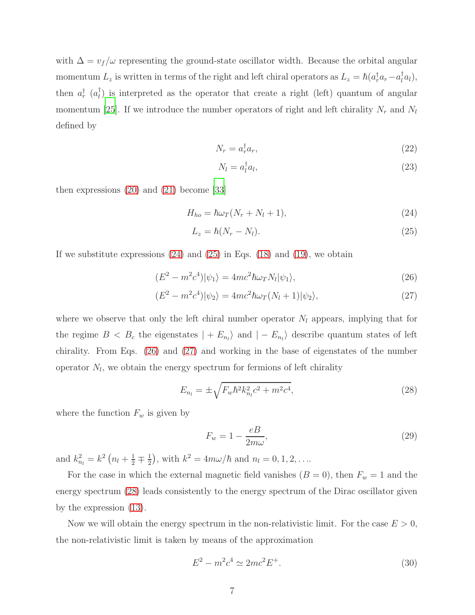with  $\Delta = v_f/\omega$  representing the ground-state oscillator width. Because the orbital angular momentum  $L_z$  is written in terms of the right and left chiral operators as  $L_z = \hbar (a_r^{\dagger} a_r - a_l^{\dagger} a_l)$ , then  $a_r^{\dagger}$  ( $a_l^{\dagger}$ ) is interpreted as the operator that create a right (left) quantum of angular momentum [\[25](#page-13-2)]. If we introduce the number operators of right and left chirality  $N_r$  and  $N_l$ defined by

<span id="page-7-5"></span>
$$
N_r = a_r^{\dagger} a_r,\tag{22}
$$

<span id="page-7-6"></span><span id="page-7-0"></span>
$$
N_l = a_l^{\dagger} a_l,\tag{23}
$$

then expressions [\(20\)](#page-5-4) and [\(21\)](#page-5-5) become [\[33\]](#page-14-2)

$$
H_{ho} = \hbar\omega_T (N_r + N_l + 1),\tag{24}
$$

$$
L_z = \hbar (N_r - N_l). \tag{25}
$$

If we substitute expressions  $(24)$  and  $(25)$  in Eqs.  $(18)$  and  $(19)$ , we obtain

$$
(E2 - m2c4)|\psi1\rangle = 4mc2\hbar\omegaTNl|\psi1\rangle,
$$
\n(26)

$$
(E2 - m2c4)|\psi_2\rangle = 4mc2\hbar\omega_T(N_l + 1)|\psi_2\rangle,
$$
\n(27)

where we observe that only the left chiral number operator  $N_l$  appears, implying that for the regime  $B < B_c$  the eigenstates  $| + E_{n_l} \rangle$  and  $| - E_{n_l} \rangle$  describe quantum states of left chirality. From Eqs. [\(26\)](#page-6-2) and [\(27\)](#page-6-3) and working in the base of eigenstates of the number operator  $N_l$ , we obtain the energy spectrum for fermions of left chirality

$$
E_{n_l} = \pm \sqrt{F_w \hbar^2 k_{n_l}^2 c^2 + m^2 c^4},\tag{28}
$$

where the function  $F_w$  is given by

<span id="page-7-4"></span><span id="page-7-3"></span><span id="page-7-2"></span><span id="page-7-1"></span>
$$
F_w = 1 - \frac{eB}{2m\omega},\tag{29}
$$

and  $k_{n_l}^2 = k^2 \left( n_l + \frac{1}{2} \mp \frac{1}{2} \right)$  $(\frac{1}{2})$ , with  $k^2 = 4m\omega/\hbar$  and  $n_l = 0, 1, 2, ...$ 

For the case in which the external magnetic field vanishes  $(B = 0)$ , then  $F_w = 1$  and the energy spectrum [\(28\)](#page-6-4) leads consistently to the energy spectrum of the Dirac oscillator given by the expression [\(13\)](#page-4-1).

Now we will obtain the energy spectrum in the non-relativistic limit. For the case  $E > 0$ , the non-relativistic limit is taken by means of the approximation

$$
E^2 - m^2 c^4 \simeq 2mc^2 E^+.
$$
\n(30)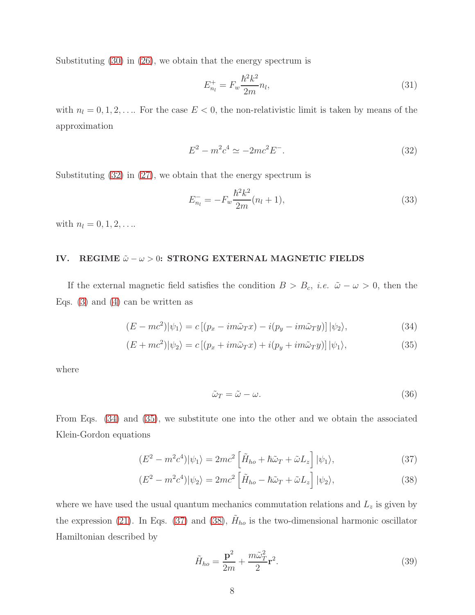Substituting [\(30\)](#page-6-5) in [\(26\)](#page-6-2), we obtain that the energy spectrum is

<span id="page-8-1"></span><span id="page-8-0"></span>
$$
E_{n_l}^+ = F_w \frac{\hbar^2 k^2}{2m} n_l,
$$
\n(31)

with  $n_l = 0, 1, 2, \ldots$  For the case  $E < 0$ , the non-relativistic limit is taken by means of the approximation

$$
E^2 - m^2 c^4 \simeq -2mc^2 E^-.
$$
\n(32)

Substituting [\(32\)](#page-7-0) in [\(27\)](#page-6-3), we obtain that the energy spectrum is

<span id="page-8-3"></span><span id="page-8-2"></span>
$$
E_{n_l}^- = -F_w \frac{\hbar^2 k^2}{2m} (n_l + 1),\tag{33}
$$

with  $n_l = 0, 1, 2, \ldots$ 

#### IV. REGIME  $\tilde{\omega} - \omega > 0$ : STRONG EXTERNAL MAGNETIC FIELDS

If the external magnetic field satisfies the condition  $B > B_c$ , *i.e.*  $\tilde{\omega} - \omega > 0$ , then the Eqs.  $(3)$  and  $(4)$  can be written as

$$
(E - mc^2)|\psi_1\rangle = c\left[ (p_x - im\tilde{\omega}_T x) - i(p_y - im\tilde{\omega}_T y) \right] |\psi_2\rangle, \tag{34}
$$

$$
(E + mc2)|\psi_2\rangle = c\left[ (p_x + im\tilde{\omega}_T x) + i(p_y + im\tilde{\omega}_T y)\right] |\psi_1\rangle,
$$
\n(35)

where

$$
\tilde{\omega}_T = \tilde{\omega} - \omega. \tag{36}
$$

From Eqs. [\(34\)](#page-7-1) and [\(35\)](#page-7-2), we substitute one into the other and we obtain the associated Klein-Gordon equations

$$
(E^2 - m^2 c^4)|\psi_1\rangle = 2mc^2 \left[\tilde{H}_{ho} + \hbar \tilde{\omega}_T + \tilde{\omega} L_z\right]|\psi_1\rangle, \tag{37}
$$

$$
(E^2 - m^2 c^4)|\psi_2\rangle = 2mc^2 \left[\tilde{H}_{ho} - \hbar \tilde{\omega}_T + \tilde{\omega} L_z\right]|\psi_2\rangle, \tag{38}
$$

where we have used the usual quantum mechanics commutation relations and  $L_z$  is given by the expression [\(21\)](#page-5-5). In Eqs. [\(37\)](#page-7-3) and [\(38\)](#page-7-4),  $\tilde{H}_{ho}$  is the two-dimensional harmonic oscillator Hamiltonian described by

<span id="page-8-5"></span><span id="page-8-4"></span>
$$
\tilde{H}_{ho} = \frac{\mathbf{p}^2}{2m} + \frac{m\tilde{\omega}_T^2}{2}\mathbf{r}^2.
$$
\n(39)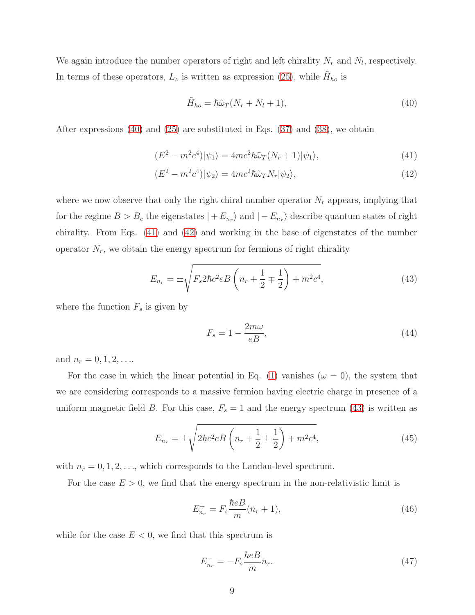We again introduce the number operators of right and left chirality  $N_r$  and  $N_l$ , respectively. In terms of these operators,  $L_z$  is written as expression [\(25\)](#page-6-1), while  $\tilde{H}_{ho}$  is

$$
\tilde{H}_{ho} = \hbar \tilde{\omega}_T (N_r + N_l + 1), \tag{40}
$$

After expressions [\(40\)](#page-8-0) and [\(25\)](#page-6-1) are substituted in Eqs. [\(37\)](#page-7-3) and [\(38\)](#page-7-4), we obtain

$$
(E2 - m2c4)|\psi1\rangle = 4mc2\hbar\tilde{\omega}T(Nr + 1)|\psi1\rangle,
$$
\n(41)

$$
(E2 - m2c4)|\psi_2\rangle = 4mc2\hbar\tilde{\omega}_T N_r|\psi_2\rangle,
$$
\n(42)

where we now observe that only the right chiral number operator  $N_r$  appears, implying that for the regime  $B > B_c$  the eigenstates  $| + E_{n_r} \rangle$  and  $| - E_{n_r} \rangle$  describe quantum states of right chirality. From Eqs. [\(41\)](#page-8-1) and [\(42\)](#page-8-2) and working in the base of eigenstates of the number operator  $N_r$ , we obtain the energy spectrum for fermions of right chirality

$$
E_{n_r} = \pm \sqrt{F_s 2\hbar c^2 e B \left(n_r + \frac{1}{2} \mp \frac{1}{2}\right) + m^2 c^4},\tag{43}
$$

where the function  $F_s$  is given by

<span id="page-9-0"></span>
$$
F_s = 1 - \frac{2m\omega}{eB},\tag{44}
$$

and  $n_r = 0, 1, 2, \ldots$ 

For the case in which the linear potential in Eq. [\(1\)](#page-2-0) vanishes ( $\omega = 0$ ), the system that we are considering corresponds to a massive fermion having electric charge in presence of a uniform magnetic field B. For this case,  $F_s = 1$  and the energy spectrum [\(43\)](#page-8-3) is written as

$$
E_{n_r} = \pm \sqrt{2\hbar c^2 eB \left(n_r + \frac{1}{2} \pm \frac{1}{2}\right) + m^2 c^4},\tag{45}
$$

with  $n_r = 0, 1, 2, \ldots$ , which corresponds to the Landau-level spectrum.

For the case  $E > 0$ , we find that the energy spectrum in the non-relativistic limit is

<span id="page-9-1"></span>
$$
E_{n_r}^+ = F_s \frac{\hbar e B}{m} (n_r + 1),
$$
\n(46)

while for the case  $E < 0$ , we find that this spectrum is

$$
E_{n_r}^- = -F_s \frac{\hbar e B}{m} n_r. \tag{47}
$$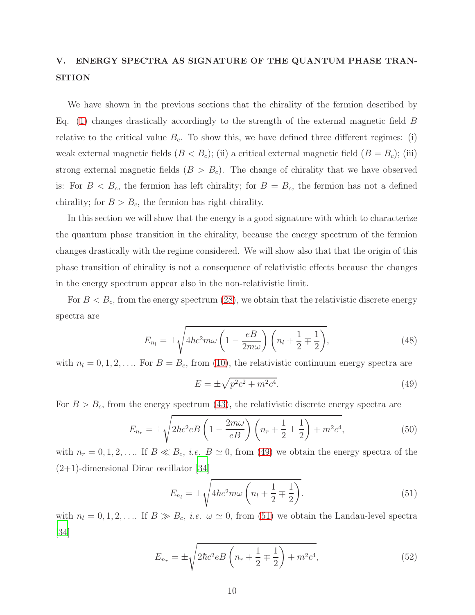### V. ENERGY SPECTRA AS SIGNATURE OF THE QUANTUM PHASE TRAN-**SITION**

We have shown in the previous sections that the chirality of the fermion described by Eq. [\(1\)](#page-2-0) changes drastically accordingly to the strength of the external magnetic field  $B$ relative to the critical value  $B<sub>c</sub>$ . To show this, we have defined three different regimes: (i) weak external magnetic fields  $(B < B<sub>c</sub>)$ ; (ii) a critical external magnetic field  $(B = B<sub>c</sub>)$ ; (iii) strong external magnetic fields  $(B > B<sub>c</sub>)$ . The change of chirality that we have observed is: For  $B < B_c$ , the fermion has left chirality; for  $B = B_c$ , the fermion has not a defined chirality; for  $B > B_c$ , the fermion has right chirality.

In this section we will show that the energy is a good signature with which to characterize the quantum phase transition in the chirality, because the energy spectrum of the fermion changes drastically with the regime considered. We will show also that that the origin of this phase transition of chirality is not a consequence of relativistic effects because the changes in the energy spectrum appear also in the non-relativistic limit.

For  $B < B_c$ , from the energy spectrum [\(28\)](#page-6-4), we obtain that the relativistic discrete energy spectra are

$$
E_{n_l} = \pm \sqrt{4\hbar c^2 m \omega \left(1 - \frac{eB}{2m\omega}\right) \left(n_l + \frac{1}{2} \mp \frac{1}{2}\right)},\tag{48}
$$

with  $n_l = 0, 1, 2, \ldots$  For  $B = B_c$ , from [\(10\)](#page-3-7), the relativistic continuum energy spectra are

$$
E = \pm \sqrt{p^2 c^2 + m^2 c^4}.
$$
\n(49)

For  $B > B_c$ , from the energy spectrum [\(43\)](#page-8-3), the relativistic discrete energy spectra are

$$
E_{n_r} = \pm \sqrt{2\hbar c^2 eB \left(1 - \frac{2m\omega}{eB}\right) \left(n_r + \frac{1}{2} \pm \frac{1}{2}\right) + m^2 c^4},\tag{50}
$$

with  $n_r = 0, 1, 2, \ldots$  If  $B \ll B_c$ , *i.e.*  $B \simeq 0$ , from [\(49\)](#page-9-0) we obtain the energy spectra of the  $(2+1)$ -dimensional Dirac oscillator [\[34](#page-14-1)]

$$
E_{n_l} = \pm \sqrt{4\hbar c^2 m \omega \left(n_l + \frac{1}{2} \mp \frac{1}{2}\right)}.
$$
\n(51)

with  $n_l = 0, 1, 2, \ldots$  If  $B \gg B_c$ , *i.e.*  $\omega \simeq 0$ , from [\(51\)](#page-9-1) we obtain the Landau-level spectra [\[34\]](#page-14-1)

$$
E_{n_r} = \pm \sqrt{2\hbar c^2 eB \left(n_r + \frac{1}{2} \mp \frac{1}{2}\right) + m^2 c^4},\tag{52}
$$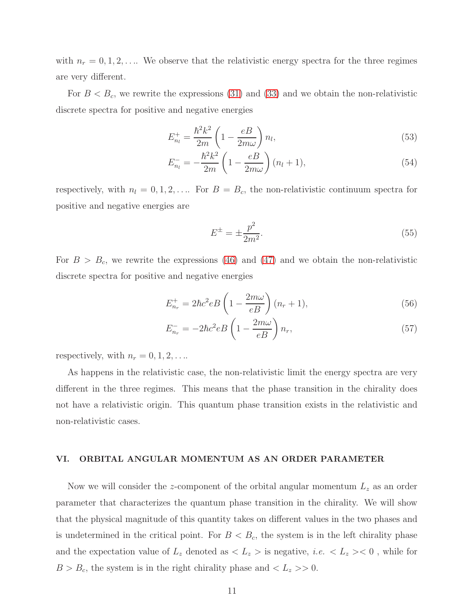with  $n_r = 0, 1, 2, \ldots$  We observe that the relativistic energy spectra for the three regimes are very different.

For  $B < B_c$ , we rewrite the expressions [\(31\)](#page-7-5) and [\(33\)](#page-7-6) and we obtain the non-relativistic discrete spectra for positive and negative energies

$$
E_{n_l}^+ = \frac{\hbar^2 k^2}{2m} \left( 1 - \frac{eB}{2m\omega} \right) n_l,\tag{53}
$$

$$
E_{n_l}^- = -\frac{\hbar^2 k^2}{2m} \left( 1 - \frac{eB}{2m\omega} \right) (n_l + 1), \tag{54}
$$

respectively, with  $n_l = 0, 1, 2, \ldots$  For  $B = B_c$ , the non-relativistic continuum spectra for positive and negative energies are

$$
E^{\pm} = \pm \frac{p^2}{2m^2}.
$$
\n(55)

For  $B > B_c$ , we rewrite the expressions [\(46\)](#page-8-4) and [\(47\)](#page-8-5) and we obtain the non-relativistic discrete spectra for positive and negative energies

$$
E_{n_r}^+ = 2\hbar c^2 e B \left( 1 - \frac{2m\omega}{e B} \right) (n_r + 1),\tag{56}
$$

$$
E_{n_r}^- = -2\hbar c^2 e B \left( 1 - \frac{2m\omega}{eB} \right) n_r,\tag{57}
$$

respectively, with  $n_r = 0, 1, 2, \ldots$ 

As happens in the relativistic case, the non-relativistic limit the energy spectra are very different in the three regimes. This means that the phase transition in the chirality does not have a relativistic origin. This quantum phase transition exists in the relativistic and non-relativistic cases.

#### VI. ORBITAL ANGULAR MOMENTUM AS AN ORDER PARAMETER

Now we will consider the z-component of the orbital angular momentum  $L<sub>z</sub>$  as an order parameter that characterizes the quantum phase transition in the chirality. We will show that the physical magnitude of this quantity takes on different values in the two phases and is undetermined in the critical point. For  $B < B<sub>c</sub>$ , the system is in the left chirality phase and the expectation value of  $L_z$  denoted as  $\langle L_z \rangle$  is negative, *i.e.*  $\langle L_z \rangle \langle 0$ , while for  $B > B_c$ , the system is in the right chirality phase and  $\langle L_z \rangle > 0$ .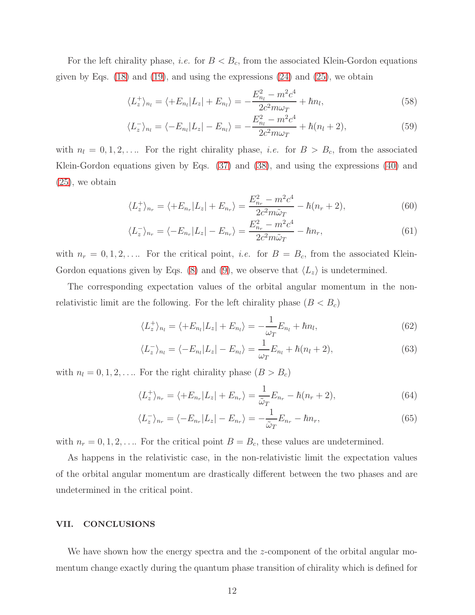For the left chirality phase, *i.e.* for  $B < B_c$ , from the associated Klein-Gordon equations given by Eqs.  $(18)$  and  $(19)$ , and using the expressions  $(24)$  and  $(25)$ , we obtain

$$
\langle L_z^+ \rangle_{n_l} = \langle +E_{n_l} | L_z | + E_{n_l} \rangle = -\frac{E_{n_l}^2 - m^2 c^4}{2c^2 m \omega_T} + \hbar n_l, \tag{58}
$$

$$
\langle L_z^- \rangle_{n_l} = \langle -E_{n_l} | L_z | - E_{n_l} \rangle = -\frac{E_{n_l}^2 - m^2 c^4}{2c^2 m \omega_T} + \hbar (n_l + 2), \tag{59}
$$

with  $n_l = 0, 1, 2, \ldots$  For the right chirality phase, *i.e.* for  $B > B_c$ , from the associated Klein-Gordon equations given by Eqs. [\(37\)](#page-7-3) and [\(38\)](#page-7-4), and using the expressions [\(40\)](#page-8-0) and [\(25\)](#page-6-1), we obtain

$$
\langle L_z^+ \rangle_{n_r} = \langle +E_{n_r} | L_z | + E_{n_r} \rangle = \frac{E_{n_r}^2 - m^2 c^4}{2c^2 m \tilde{\omega}_T} - \hbar (n_r + 2), \tag{60}
$$

$$
\langle L_z^- \rangle_{n_r} = \langle -E_{n_r} | L_z | - E_{n_r} \rangle = \frac{E_{n_r}^2 - m^2 c^4}{2c^2 m \tilde{\omega}_T} - \hbar n_r, \tag{61}
$$

with  $n_r = 0, 1, 2, \ldots$  For the critical point, *i.e.* for  $B = B_c$ , from the associated Klein-Gordon equations given by Eqs. [\(8\)](#page-3-5) and [\(9\)](#page-3-6), we observe that  $\langle L_z \rangle$  is undetermined.

The corresponding expectation values of the orbital angular momentum in the nonrelativistic limit are the following. For the left chirality phase  $(B < B<sub>c</sub>)$ 

$$
\langle L_z^+ \rangle_{n_l} = \langle +E_{n_l} | L_z | + E_{n_l} \rangle = -\frac{1}{\omega_T} E_{n_l} + \hbar n_l, \tag{62}
$$

$$
\langle L_z^- \rangle_{n_l} = \langle -E_{n_l} | L_z | -E_{n_l} \rangle = \frac{1}{\omega_T} E_{n_l} + \hbar(n_l + 2), \tag{63}
$$

with  $n_l = 0, 1, 2, \ldots$  For the right chirality phase  $(B > B_c)$ 

$$
\langle L_z^+ \rangle_{n_r} = \langle +E_{n_r} | L_z | + E_{n_r} \rangle = \frac{1}{\tilde{\omega}_T} E_{n_r} - \hbar (n_r + 2), \tag{64}
$$

$$
\langle L_z^- \rangle_{n_r} = \langle -E_{n_r} | L_z | - E_{n_r} \rangle = -\frac{1}{\tilde{\omega}_T} E_{n_r} - \hbar n_r, \tag{65}
$$

with  $n_r = 0, 1, 2, \ldots$  For the critical point  $B = B_c$ , these values are undetermined.

As happens in the relativistic case, in the non-relativistic limit the expectation values of the orbital angular momentum are drastically different between the two phases and are undetermined in the critical point.

#### <span id="page-12-0"></span>VII. CONCLUSIONS

<span id="page-12-1"></span>We have shown how the energy spectra and the z-component of the orbital angular momentum change exactly during the quantum phase transition of chirality which is defined for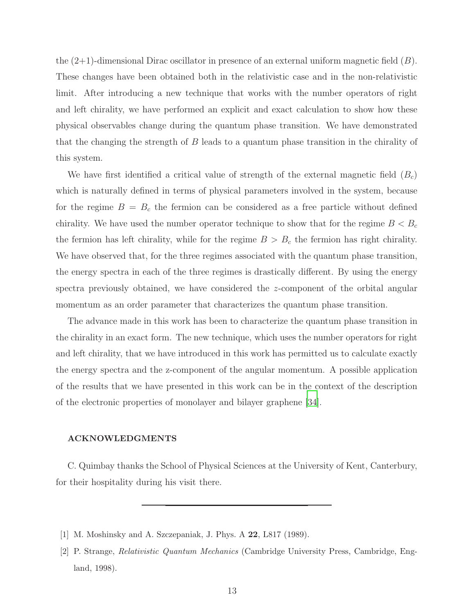<span id="page-13-0"></span>the  $(2+1)$ -dimensional Dirac oscillator in presence of an external uniform magnetic field  $(B)$ . These changes have been obtained both in the relativistic case and in the non-relativistic limit. After introducing a new technique that works with the number operators of right and left chirality, we have performed an explicit and exact calculation to show how these physical observables change during the quantum phase transition. We have demonstrated that the changing the strength of B leads to a quantum phase transition in the chirality of this system.

We have first identified a critical value of strength of the external magnetic field  $(B<sub>c</sub>)$ which is naturally defined in terms of physical parameters involved in the system, because for the regime  $B = B<sub>c</sub>$  the fermion can be considered as a free particle without defined chirality. We have used the number operator technique to show that for the regime  $B < B_c$ the fermion has left chirality, while for the regime  $B > B<sub>c</sub>$  the fermion has right chirality. We have observed that, for the three regimes associated with the quantum phase transition, the energy spectra in each of the three regimes is drastically different. By using the energy spectra previously obtained, we have considered the  $z$ -component of the orbital angular momentum as an order parameter that characterizes the quantum phase transition.

The advance made in this work has been to characterize the quantum phase transition in the chirality in an exact form. The new technique, which uses the number operators for right and left chirality, that we have introduced in this work has permitted us to calculate exactly the energy spectra and the z-component of the angular momentum. A possible application of the results that we have presented in this work can be in the context of the description of the electronic properties of monolayer and bilayer graphene [\[34\]](#page-14-1).

#### <span id="page-13-1"></span>ACKNOWLEDGMENTS

<span id="page-13-2"></span>C. Quimbay thanks the School of Physical Sciences at the University of Kent, Canterbury, for their hospitality during his visit there.

<span id="page-13-4"></span>[1] M. Moshinsky and A. Szczepaniak, J. Phys. A 22, L817 (1989).

<span id="page-13-3"></span><sup>[2]</sup> P. Strange, Relativistic Quantum Mechanics (Cambridge University Press, Cambridge, England, 1998).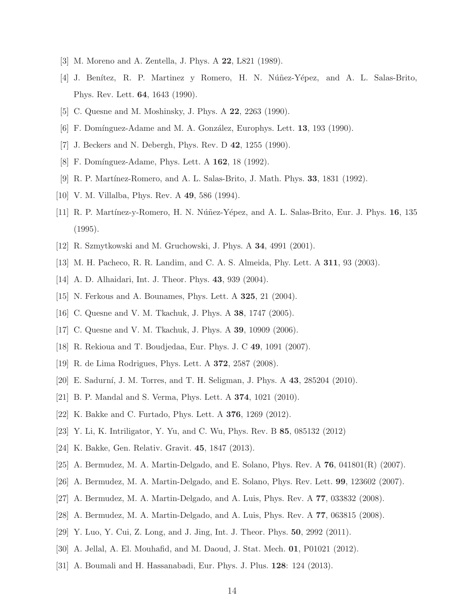- <span id="page-14-0"></span>[3] M. Moreno and A. Zentella, J. Phys. A 22, L821 (1989).
- <span id="page-14-2"></span>[4] J. Benítez, R. P. Martinez y Romero, H. N. Núñez-Yépez, and A. L. Salas-Brito, Phys. Rev. Lett. 64, 1643 (1990).
- <span id="page-14-1"></span>[5] C. Quesne and M. Moshinsky, J. Phys. A 22, 2263 (1990).
- [6] F. Domínguez-Adame and M. A. González, Europhys. Lett. 13, 193 (1990).
- [7] J. Beckers and N. Debergh, Phys. Rev. D 42, 1255 (1990).
- [8] F. Domínguez-Adame, Phys. Lett. A 162, 18 (1992).
- [9] R. P. Martínez-Romero, and A. L. Salas-Brito, J. Math. Phys. **33**, 1831 (1992).
- [10] V. M. Villalba, Phys. Rev. A **49**, 586 (1994).
- [11] R. P. Martínez-y-Romero, H. N. Núñez-Yépez, and A. L. Salas-Brito, Eur. J. Phys. 16, 135 (1995).
- [12] R. Szmytkowski and M. Gruchowski, J. Phys. A 34, 4991 (2001).
- [13] M. H. Pacheco, R. R. Landim, and C. A. S. Almeida, Phy. Lett. A 311, 93 (2003).
- [14] A. D. Alhaidari, Int. J. Theor. Phys. 43, 939 (2004).
- [15] N. Ferkous and A. Bounames, Phys. Lett. A 325, 21 (2004).
- [16] C. Quesne and V. M. Tkachuk, J. Phys. A 38, 1747 (2005).
- [17] C. Quesne and V. M. Tkachuk, J. Phys. A **39**, 10909 (2006).
- [18] R. Rekioua and T. Boudjedaa, Eur. Phys. J. C 49, 1091 (2007).
- [19] R. de Lima Rodrigues, Phys. Lett. A 372, 2587 (2008).
- [20] E. Sadurní, J. M. Torres, and T. H. Seligman, J. Phys. A 43, 285204 (2010).
- [21] B. P. Mandal and S. Verma, Phys. Lett. A 374, 1021 (2010).
- [22] K. Bakke and C. Furtado, Phys. Lett. A 376, 1269 (2012).
- [23] Y. Li, K. Intriligator, Y. Yu, and C. Wu, Phys. Rev. B 85, 085132 (2012)
- [24] K. Bakke, Gen. Relativ. Gravit. 45, 1847 (2013).
- [25] A. Bermudez, M. A. Martin-Delgado, and E. Solano, Phys. Rev. A 76, 041801(R) (2007).
- [26] A. Bermudez, M. A. Martin-Delgado, and E. Solano, Phys. Rev. Lett. 99, 123602 (2007).
- [27] A. Bermudez, M. A. Martin-Delgado, and A. Luis, Phys. Rev. A 77, 033832 (2008).
- [28] A. Bermudez, M. A. Martin-Delgado, and A. Luis, Phys. Rev. A 77, 063815 (2008).
- [29] Y. Luo, Y. Cui, Z. Long, and J. Jing, Int. J. Theor. Phys. 50, 2992 (2011).
- [30] A. Jellal, A. El. Mouhafid, and M. Daoud, J. Stat. Mech. 01, P01021 (2012).
- [31] A. Boumali and H. Hassanabadi, Eur. Phys. J. Plus. 128: 124 (2013).